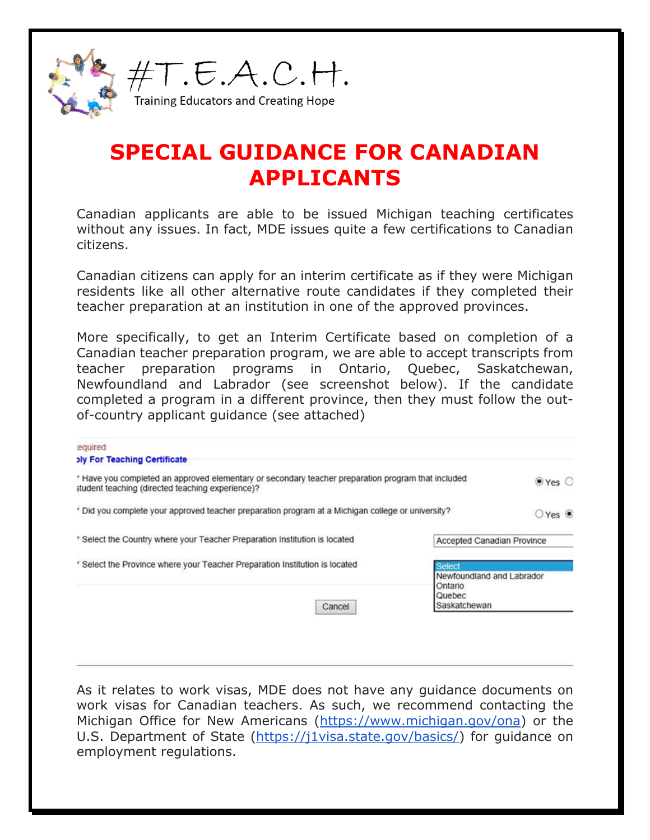



## **SPECIAL GUIDANCE FOR CANADIAN APPLICANTS**

Canadian applicants are able to be issued Michigan teaching certificates without any issues. In fact, MDE issues quite a few certifications to Canadian citizens.

Canadian citizens can apply for an interim certificate as if they were Michigan residents like all other alternative route candidates if they completed their teacher preparation at an institution in one of the approved provinces.

More specifically, to get an Interim Certificate based on completion of a Canadian teacher preparation program, we are able to accept transcripts from teacher preparation programs in Ontario, Quebec, Saskatchewan, Newfoundland and Labrador (see screenshot below). If the candidate completed a program in a different province, then they must follow the outof-country applicant guidance (see attached)

| equired                                                                                                                                                |  |                                      |                  |
|--------------------------------------------------------------------------------------------------------------------------------------------------------|--|--------------------------------------|------------------|
| ply For Teaching Certificate                                                                                                                           |  |                                      |                  |
| * Have you completed an approved elementary or secondary teacher preparation program that included<br>student teaching (directed teaching experience)? |  | $\bullet$ Yes $\circ$                |                  |
| * Did you complete your approved teacher preparation program at a Michigan college or university?                                                      |  |                                      | $OYes$ $\bullet$ |
| * Select the Country where your Teacher Preparation Institution is located                                                                             |  | Accepted Canadian Province           |                  |
| * Select the Province where your Teacher Preparation Institution is located                                                                            |  | <b>Select</b>                        |                  |
|                                                                                                                                                        |  | Newfoundland and Labrador<br>Ontario |                  |
|                                                                                                                                                        |  |                                      |                  |
| Cancel                                                                                                                                                 |  | Saskatchewan                         |                  |

As it relates to work visas, MDE does not have any guidance documents on work visas for Canadian teachers. As such, we recommend contacting the Michigan Office for New Americans (https://www.michigan.gov/ona) or the U.S. Department of State (https://j1visa.state.gov/basics/) for guidance on employment regulations.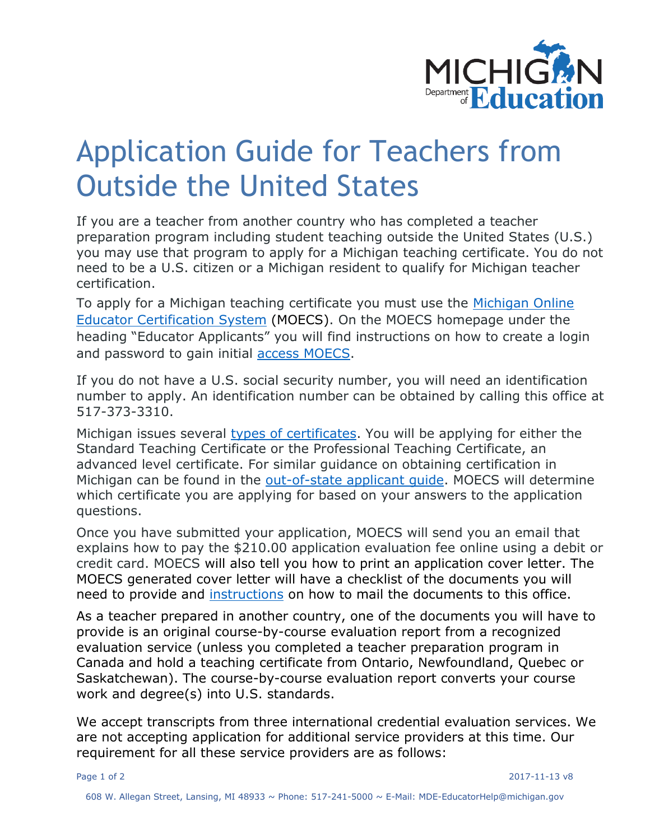

## Application Guide for Teachers from Outside the United States

If you are a teacher from another country who has completed a teacher preparation program including student teaching outside the United States (U.S.) you may use that program to apply for a Michigan teaching certificate. You do not need to be a U.S. citizen or a Michigan resident to qualify for Michigan teacher certification.

To apply for a Michigan teaching certificate you must use the [Michigan Online](http://www.michigan.gov/moecs)  [Educator Certification System](http://www.michigan.gov/moecs) (MOECS). On the MOECS homepage under the heading "Educator Applicants" you will find instructions on how to create a login and password to gain initial [access MOECS.](http://www.michigan.gov/documents/mde/Initial_MOECS_Instructions_515886_7.pdf)

If you do not have a U.S. social security number, you will need an identification number to apply. An identification number can be obtained by calling this office at 517-373-3310.

Michigan issues several [types of certificates.](http://www.michigan.gov/documents/mde/Certificate_Types_534634_7.PDF) You will be applying for either the Standard Teaching Certificate or the Professional Teaching Certificate, an advanced level certificate. For similar guidance on obtaining certification in Michigan can be found in the [out-of-state applicant guide.](http://www.michigan.gov/documents/mde/Out_Of_State_Applicants_534635_7.pdf) MOECS will determine which certificate you are applying for based on your answers to the application questions.

Once you have submitted your application, MOECS will send you an email that explains how to pay the \$210.00 application evaluation fee online using a debit or credit card. MOECS will also tell you how to print an application cover letter. The MOECS generated cover letter will have a checklist of the documents you will need to provide and [instructions](http://www.michigan.gov/documents/mde/Criteria_for_Accurate_Teacher_Application_Documentation_Eblast_Attachment_2014-8-12_465610_7.pdf) on how to mail the documents to this office.

As a teacher prepared in another country, one of the documents you will have to provide is an original course-by-course evaluation report from a recognized evaluation service (unless you completed a teacher preparation program in Canada and hold a teaching certificate from Ontario, Newfoundland, Quebec or Saskatchewan). The course-by-course evaluation report converts your course work and degree(s) into U.S. standards.

We accept transcripts from three international credential evaluation services. We are not accepting application for additional service providers at this time. Our requirement for all these service providers are as follows: